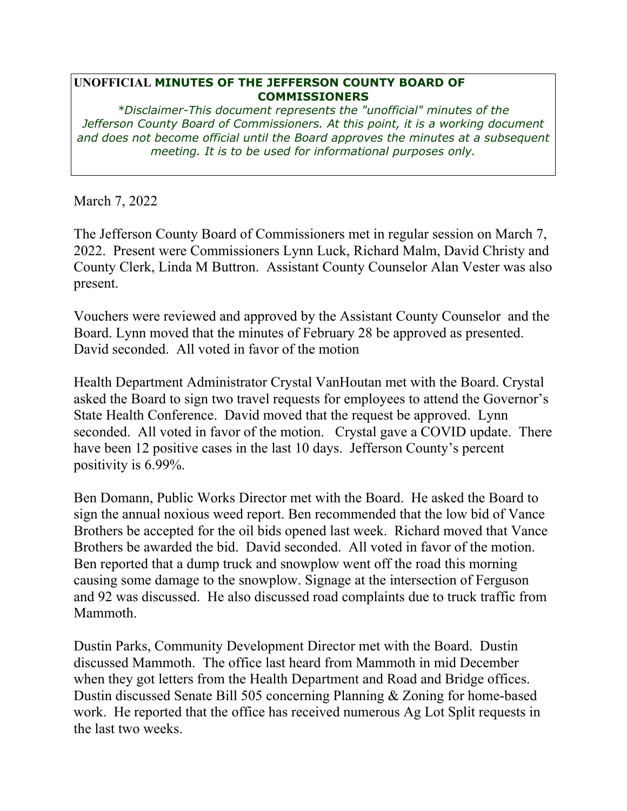## **UNOFFICIAL MINUTES OF THE JEFFERSON COUNTY BOARD OF COMMISSIONERS**

*\*Disclaimer-This document represents the "unofficial" minutes of the Jefferson County Board of Commissioners. At this point, it is a working document and does not become official until the Board approves the minutes at a subsequent meeting. It is to be used for informational purposes only.* 

March 7, 2022

The Jefferson County Board of Commissioners met in regular session on March 7, 2022. Present were Commissioners Lynn Luck, Richard Malm, David Christy and County Clerk, Linda M Buttron. Assistant County Counselor Alan Vester was also present.

Vouchers were reviewed and approved by the Assistant County Counselor and the Board. Lynn moved that the minutes of February 28 be approved as presented. David seconded. All voted in favor of the motion

Health Department Administrator Crystal VanHoutan met with the Board. Crystal asked the Board to sign two travel requests for employees to attend the Governor's State Health Conference. David moved that the request be approved. Lynn seconded. All voted in favor of the motion. Crystal gave a COVID update. There have been 12 positive cases in the last 10 days. Jefferson County's percent positivity is 6.99%.

Ben Domann, Public Works Director met with the Board. He asked the Board to sign the annual noxious weed report. Ben recommended that the low bid of Vance Brothers be accepted for the oil bids opened last week. Richard moved that Vance Brothers be awarded the bid. David seconded. All voted in favor of the motion. Ben reported that a dump truck and snowplow went off the road this morning causing some damage to the snowplow. Signage at the intersection of Ferguson and 92 was discussed. He also discussed road complaints due to truck traffic from Mammoth.

Dustin Parks, Community Development Director met with the Board. Dustin discussed Mammoth. The office last heard from Mammoth in mid December when they got letters from the Health Department and Road and Bridge offices. Dustin discussed Senate Bill 505 concerning Planning & Zoning for home-based work. He reported that the office has received numerous Ag Lot Split requests in the last two weeks.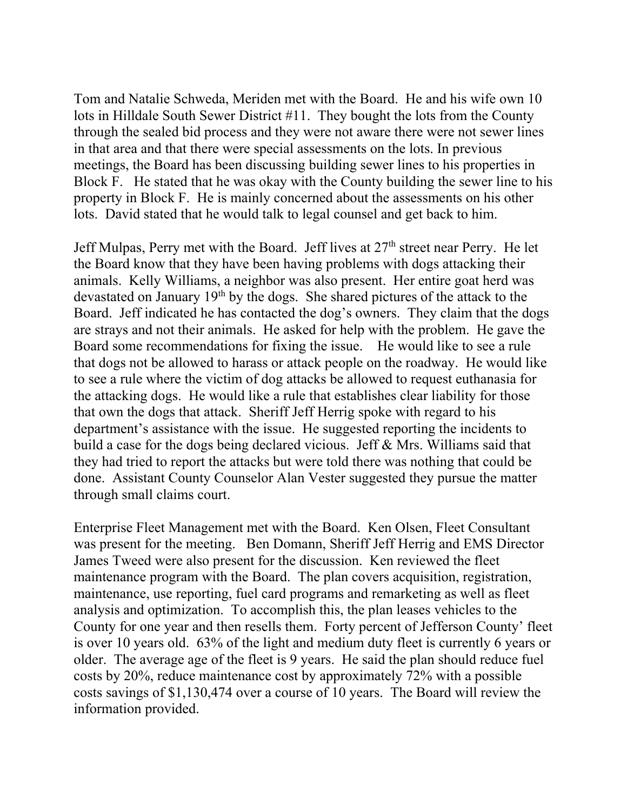Tom and Natalie Schweda, Meriden met with the Board. He and his wife own 10 lots in Hilldale South Sewer District #11. They bought the lots from the County through the sealed bid process and they were not aware there were not sewer lines in that area and that there were special assessments on the lots. In previous meetings, the Board has been discussing building sewer lines to his properties in Block F. He stated that he was okay with the County building the sewer line to his property in Block F. He is mainly concerned about the assessments on his other lots. David stated that he would talk to legal counsel and get back to him.

Jeff Mulpas, Perry met with the Board. Jeff lives at 27<sup>th</sup> street near Perry. He let the Board know that they have been having problems with dogs attacking their animals. Kelly Williams, a neighbor was also present. Her entire goat herd was devastated on January 19<sup>th</sup> by the dogs. She shared pictures of the attack to the Board. Jeff indicated he has contacted the dog's owners. They claim that the dogs are strays and not their animals. He asked for help with the problem. He gave the Board some recommendations for fixing the issue. He would like to see a rule that dogs not be allowed to harass or attack people on the roadway. He would like to see a rule where the victim of dog attacks be allowed to request euthanasia for the attacking dogs. He would like a rule that establishes clear liability for those that own the dogs that attack. Sheriff Jeff Herrig spoke with regard to his department's assistance with the issue. He suggested reporting the incidents to build a case for the dogs being declared vicious. Jeff & Mrs. Williams said that they had tried to report the attacks but were told there was nothing that could be done. Assistant County Counselor Alan Vester suggested they pursue the matter through small claims court.

Enterprise Fleet Management met with the Board. Ken Olsen, Fleet Consultant was present for the meeting. Ben Domann, Sheriff Jeff Herrig and EMS Director James Tweed were also present for the discussion. Ken reviewed the fleet maintenance program with the Board. The plan covers acquisition, registration, maintenance, use reporting, fuel card programs and remarketing as well as fleet analysis and optimization. To accomplish this, the plan leases vehicles to the County for one year and then resells them. Forty percent of Jefferson County' fleet is over 10 years old. 63% of the light and medium duty fleet is currently 6 years or older. The average age of the fleet is 9 years. He said the plan should reduce fuel costs by 20%, reduce maintenance cost by approximately 72% with a possible costs savings of \$1,130,474 over a course of 10 years. The Board will review the information provided.